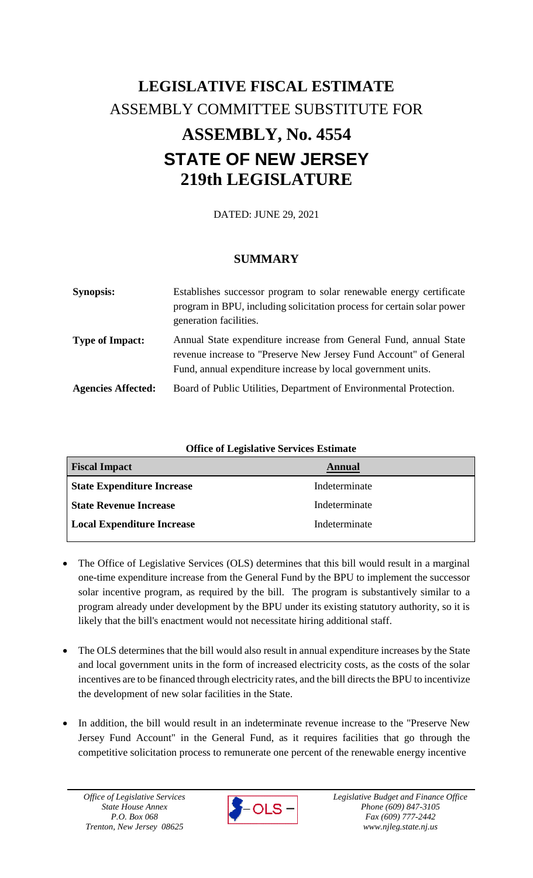# **LEGISLATIVE FISCAL ESTIMATE** ASSEMBLY COMMITTEE SUBSTITUTE FOR **ASSEMBLY, No. 4554 STATE OF NEW JERSEY 219th LEGISLATURE**

DATED: JUNE 29, 2021

# **SUMMARY**

| <b>Synopsis:</b>          | Establishes successor program to solar renewable energy certificate<br>program in BPU, including solicitation process for certain solar power<br>generation facilities.                                |
|---------------------------|--------------------------------------------------------------------------------------------------------------------------------------------------------------------------------------------------------|
| <b>Type of Impact:</b>    | Annual State expenditure increase from General Fund, annual State<br>revenue increase to "Preserve New Jersey Fund Account" of General<br>Fund, annual expenditure increase by local government units. |
| <b>Agencies Affected:</b> | Board of Public Utilities, Department of Environmental Protection.                                                                                                                                     |

| <b>Office of Legislative Services Estimate</b> |               |  |
|------------------------------------------------|---------------|--|
| <b>Fiscal Impact</b>                           | <b>Annual</b> |  |
| <b>State Expenditure Increase</b>              | Indeterminate |  |
| <b>State Revenue Increase</b>                  | Indeterminate |  |
| <b>Local Expenditure Increase</b>              | Indeterminate |  |

- The Office of Legislative Services (OLS) determines that this bill would result in a marginal one-time expenditure increase from the General Fund by the BPU to implement the successor solar incentive program, as required by the bill. The program is substantively similar to a program already under development by the BPU under its existing statutory authority, so it is likely that the bill's enactment would not necessitate hiring additional staff.
- The OLS determines that the bill would also result in annual expenditure increases by the State and local government units in the form of increased electricity costs, as the costs of the solar incentives are to be financed through electricity rates, and the bill directs the BPU to incentivize the development of new solar facilities in the State.
- In addition, the bill would result in an indeterminate revenue increase to the "Preserve New Jersey Fund Account" in the General Fund, as it requires facilities that go through the competitive solicitation process to remunerate one percent of the renewable energy incentive

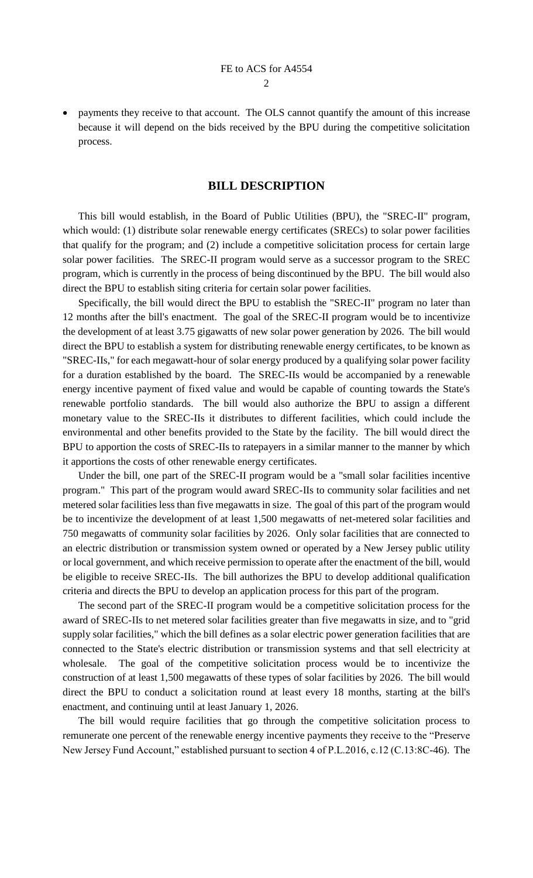payments they receive to that account. The OLS cannot quantify the amount of this increase because it will depend on the bids received by the BPU during the competitive solicitation process.

# **BILL DESCRIPTION**

This bill would establish, in the Board of Public Utilities (BPU), the "SREC-II" program, which would: (1) distribute solar renewable energy certificates (SRECs) to solar power facilities that qualify for the program; and (2) include a competitive solicitation process for certain large solar power facilities. The SREC-II program would serve as a successor program to the SREC program, which is currently in the process of being discontinued by the BPU. The bill would also direct the BPU to establish siting criteria for certain solar power facilities.

Specifically, the bill would direct the BPU to establish the "SREC-II" program no later than 12 months after the bill's enactment. The goal of the SREC-II program would be to incentivize the development of at least 3.75 gigawatts of new solar power generation by 2026. The bill would direct the BPU to establish a system for distributing renewable energy certificates, to be known as "SREC-IIs," for each megawatt-hour of solar energy produced by a qualifying solar power facility for a duration established by the board. The SREC-IIs would be accompanied by a renewable energy incentive payment of fixed value and would be capable of counting towards the State's renewable portfolio standards. The bill would also authorize the BPU to assign a different monetary value to the SREC-IIs it distributes to different facilities, which could include the environmental and other benefits provided to the State by the facility. The bill would direct the BPU to apportion the costs of SREC-IIs to ratepayers in a similar manner to the manner by which it apportions the costs of other renewable energy certificates.

Under the bill, one part of the SREC-II program would be a "small solar facilities incentive program." This part of the program would award SREC-IIs to community solar facilities and net metered solar facilities less than five megawatts in size. The goal of this part of the program would be to incentivize the development of at least 1,500 megawatts of net-metered solar facilities and 750 megawatts of community solar facilities by 2026. Only solar facilities that are connected to an electric distribution or transmission system owned or operated by a New Jersey public utility or local government, and which receive permission to operate after the enactment of the bill, would be eligible to receive SREC-IIs. The bill authorizes the BPU to develop additional qualification criteria and directs the BPU to develop an application process for this part of the program.

The second part of the SREC-II program would be a competitive solicitation process for the award of SREC-IIs to net metered solar facilities greater than five megawatts in size, and to "grid supply solar facilities," which the bill defines as a solar electric power generation facilities that are connected to the State's electric distribution or transmission systems and that sell electricity at wholesale. The goal of the competitive solicitation process would be to incentivize the construction of at least 1,500 megawatts of these types of solar facilities by 2026. The bill would direct the BPU to conduct a solicitation round at least every 18 months, starting at the bill's enactment, and continuing until at least January 1, 2026.

The bill would require facilities that go through the competitive solicitation process to remunerate one percent of the renewable energy incentive payments they receive to the "Preserve New Jersey Fund Account," established pursuant to section 4 of P.L.2016, c.12 (C.13:8C-46). The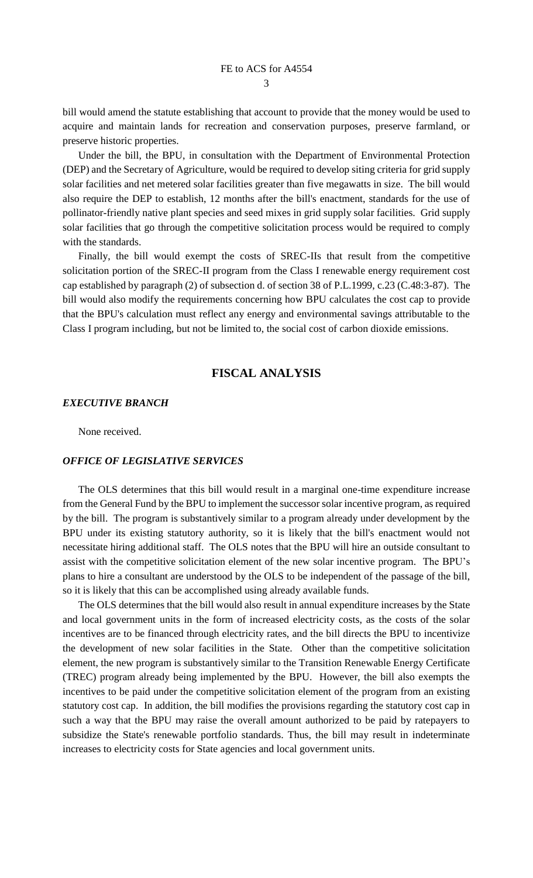bill would amend the statute establishing that account to provide that the money would be used to acquire and maintain lands for recreation and conservation purposes, preserve farmland, or preserve historic properties.

Under the bill, the BPU, in consultation with the Department of Environmental Protection (DEP) and the Secretary of Agriculture, would be required to develop siting criteria for grid supply solar facilities and net metered solar facilities greater than five megawatts in size. The bill would also require the DEP to establish, 12 months after the bill's enactment, standards for the use of pollinator-friendly native plant species and seed mixes in grid supply solar facilities. Grid supply solar facilities that go through the competitive solicitation process would be required to comply with the standards.

Finally, the bill would exempt the costs of SREC-IIs that result from the competitive solicitation portion of the SREC-II program from the Class I renewable energy requirement cost cap established by paragraph (2) of subsection d. of section 38 of P.L.1999, c.23 (C.48:3-87). The bill would also modify the requirements concerning how BPU calculates the cost cap to provide that the BPU's calculation must reflect any energy and environmental savings attributable to the Class I program including, but not be limited to, the social cost of carbon dioxide emissions.

# **FISCAL ANALYSIS**

#### *EXECUTIVE BRANCH*

None received.

### *OFFICE OF LEGISLATIVE SERVICES*

The OLS determines that this bill would result in a marginal one-time expenditure increase from the General Fund by the BPU to implement the successor solar incentive program, as required by the bill. The program is substantively similar to a program already under development by the BPU under its existing statutory authority, so it is likely that the bill's enactment would not necessitate hiring additional staff. The OLS notes that the BPU will hire an outside consultant to assist with the competitive solicitation element of the new solar incentive program. The BPU's plans to hire a consultant are understood by the OLS to be independent of the passage of the bill, so it is likely that this can be accomplished using already available funds.

The OLS determines that the bill would also result in annual expenditure increases by the State and local government units in the form of increased electricity costs, as the costs of the solar incentives are to be financed through electricity rates, and the bill directs the BPU to incentivize the development of new solar facilities in the State. Other than the competitive solicitation element, the new program is substantively similar to the Transition Renewable Energy Certificate (TREC) program already being implemented by the BPU. However, the bill also exempts the incentives to be paid under the competitive solicitation element of the program from an existing statutory cost cap. In addition, the bill modifies the provisions regarding the statutory cost cap in such a way that the BPU may raise the overall amount authorized to be paid by ratepayers to subsidize the State's renewable portfolio standards. Thus, the bill may result in indeterminate increases to electricity costs for State agencies and local government units.